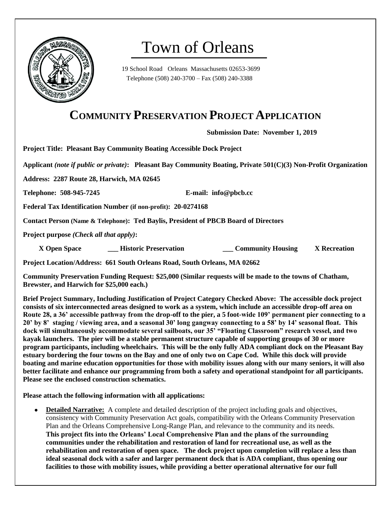

# Town of Orleans

19 School Road Orleans Massachusetts 02653-3699 Telephone (508) 240-3700 – Fax (508) 240-3388

# **COMMUNITY PRESERVATION PROJECT APPLICATION**

**Submission Date: November 1, 2019**

**Project Title: Pleasant Bay Community Boating Accessible Dock Project**

**Applicant** *(note if public or private)***: Pleasant Bay Community Boating, Private 501(C)(3) Non-Profit Organization** 

**Address: 2287 Route 28, Harwich, MA 02645**

**Telephone: 508-945-7245 E-mail: info@pbcb.cc**

**Federal Tax Identification Number (if non-profit): 20-0274168**

**Contact Person (Name & Telephone): Ted Baylis, President of PBCB Board of Directors**

**Project purpose** *(Check all that apply)***:**

 **X Open Space \_\_\_ Historic Preservation \_\_\_ Community Housing X Recreation**

**Project Location/Address: 661 South Orleans Road, South Orleans, MA 02662**

**Community Preservation Funding Request: \$25,000 (Similar requests will be made to the towns of Chatham, Brewster, and Harwich for \$25,000 each.)**

**Brief Project Summary, Including Justification of Project Category Checked Above: The accessible dock project consists of six interconnected areas designed to work as a system, which include an accessible drop-off area on Route 28, a 36' accessible pathway from the drop-off to the pier, a 5 foot-wide 109' permanent pier connecting to a 20' by 8' staging / viewing area, and a seasonal 30' long gangway connecting to a 58' by 14' seasonal float. This dock will simultaneously accommodate several sailboats, our 35' "Floating Classroom" research vessel, and two kayak launchers. The pier will be a stable permanent structure capable of supporting groups of 30 or more program participants, including wheelchairs. This will be the only fully ADA compliant dock on the Pleasant Bay estuary bordering the four towns on the Bay and one of only two on Cape Cod. While this dock will provide boating and marine education opportunities for those with mobility issues along with our many seniors, it will also better facilitate and enhance our programming from both a safety and operational standpoint for all participants. Please see the enclosed construction schematics.**

**Please attach the following information with all applications:**

**Detailed Narrative:** A complete and detailed description of the project including goals and objectives, consistency with Community Preservation Act goals, compatibility with the Orleans Community Preservation Plan and the Orleans Comprehensive Long-Range Plan, and relevance to the community and its needs. **This project fits into the Orleans' Local Comprehensive Plan and the plans of the surrounding communities under the rehabilitation and restoration of land for recreational use, as well as the rehabilitation and restoration of open space. The dock project upon completion will replace a less than ideal seasonal dock with a safer and larger permanent dock that is ADA compliant, thus opening our facilities to those with mobility issues, while providing a better operational alternative for our full**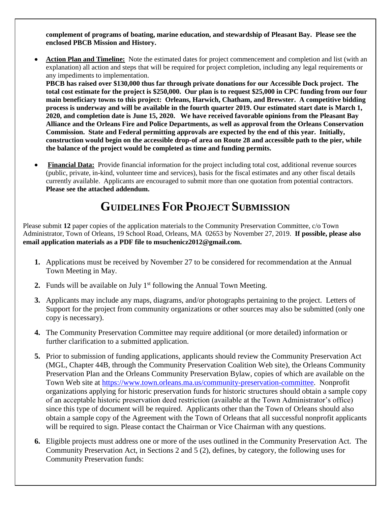**complement of programs of boating, marine education, and stewardship of Pleasant Bay. Please see the enclosed PBCB Mission and History.**

 **Action Plan and Timeline:** Note the estimated dates for project commencement and completion and list (with an explanation) all action and steps that will be required for project completion, including any legal requirements or any impediments to implementation.

**PBCB has raised over \$130,000 thus far through private donations for our Accessible Dock project. The total cost estimate for the project is \$250,000. Our plan is to request \$25,000 in CPC funding from our four main beneficiary towns to this project: Orleans, Harwich, Chatham, and Brewster. A competitive bidding process is underway and will be available in the fourth quarter 2019. Our estimated start date is March 1, 2020, and completion date is June 15, 2020. We have received favorable opinions from the Pleasant Bay Alliance and the Orleans Fire and Police Departments, as well as approval from the Orleans Conservation Commission. State and Federal permitting approvals are expected by the end of this year. Initially, construction would begin on the accessible drop-of area on Route 28 and accessible path to the pier, while the balance of the project would be completed as time and funding permits.**

 **Financial Data:** Provide financial information for the project including total cost, additional revenue sources (public, private, in-kind, volunteer time and services), basis for the fiscal estimates and any other fiscal details currently available. Applicants are encouraged to submit more than one quotation from potential contractors. **Please see the attached addendum.** 

# **GUIDELINES FOR PROJECT SUBMISSION**

Please submit **12** paper copies of the application materials to the Community Preservation Committee, c/o Town Administrator, Town of Orleans, 19 School Road, Orleans, MA 02653 by November 27, 2019. **If possible, please also email application materials as a PDF file to msuchenicz2012@gmail.com.**

- **1.** Applications must be received by November 27 to be considered for recommendation at the Annual Town Meeting in May.
- **2.** Funds will be available on July  $1<sup>st</sup>$  following the Annual Town Meeting.
- **3.** Applicants may include any maps, diagrams, and/or photographs pertaining to the project. Letters of Support for the project from community organizations or other sources may also be submitted (only one copy is necessary).
- **4.** The Community Preservation Committee may require additional (or more detailed) information or further clarification to a submitted application.
- **5.** Prior to submission of funding applications, applicants should review the Community Preservation Act (MGL, Chapter 44B, through the Community Preservation Coalition Web site), the Orleans Community Preservation Plan and the Orleans Community Preservation Bylaw, copies of which are available on the Town Web site at [https://www.town.orleans.ma.us/community-preservation-committee.](https://www.town.orleans.ma.us/community-preservation-committee) Nonprofit organizations applying for historic preservation funds for historic structures should obtain a sample copy of an acceptable historic preservation deed restriction (available at the Town Administrator's office) since this type of document will be required. Applicants other than the Town of Orleans should also obtain a sample copy of the Agreement with the Town of Orleans that all successful nonprofit applicants will be required to sign. Please contact the Chairman or Vice Chairman with any questions.
- **6.** Eligible projects must address one or more of the uses outlined in the Community Preservation Act. The Community Preservation Act, in Sections 2 and 5 (2), defines, by category, the following uses for Community Preservation funds: